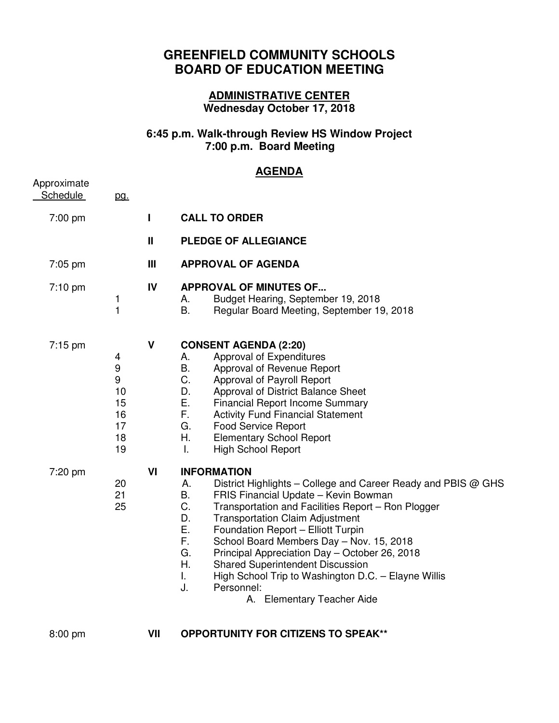## **GREENFIELD COMMUNITY SCHOOLS BOARD OF EDUCATION MEETING**

## **ADMINISTRATIVE CENTER Wednesday October 17, 2018**

## **6:45 p.m. Walk-through Review HS Window Project 7:00 p.m. Board Meeting**

## **AGENDA**

| Approximate<br><b>Schedule</b> | <u>pg.</u>                                      |              |                                                                                                                                                                                                                                                                                                                                                                                                                                                                                                                                                                          |
|--------------------------------|-------------------------------------------------|--------------|--------------------------------------------------------------------------------------------------------------------------------------------------------------------------------------------------------------------------------------------------------------------------------------------------------------------------------------------------------------------------------------------------------------------------------------------------------------------------------------------------------------------------------------------------------------------------|
| 7:00 pm                        |                                                 | L            | <b>CALL TO ORDER</b>                                                                                                                                                                                                                                                                                                                                                                                                                                                                                                                                                     |
|                                |                                                 | $\mathbf{I}$ | PLEDGE OF ALLEGIANCE                                                                                                                                                                                                                                                                                                                                                                                                                                                                                                                                                     |
| $7:05$ pm                      |                                                 | III          | <b>APPROVAL OF AGENDA</b>                                                                                                                                                                                                                                                                                                                                                                                                                                                                                                                                                |
| $7:10$ pm                      | 1<br>$\mathbf{1}$                               | IV           | <b>APPROVAL OF MINUTES OF</b><br>Budget Hearing, September 19, 2018<br>А.<br>B.<br>Regular Board Meeting, September 19, 2018                                                                                                                                                                                                                                                                                                                                                                                                                                             |
| $7:15 \text{ pm}$              | 4<br>9<br>9<br>10<br>15<br>16<br>17<br>18<br>19 | $\mathbf v$  | <b>CONSENT AGENDA (2:20)</b><br>Approval of Expenditures<br>А.<br>B.<br>Approval of Revenue Report<br>C.<br>Approval of Payroll Report<br>D.<br>Approval of District Balance Sheet<br>Ε.<br><b>Financial Report Income Summary</b><br>F.<br><b>Activity Fund Financial Statement</b><br>G.<br><b>Food Service Report</b><br>Η.<br><b>Elementary School Report</b><br><b>High School Report</b><br>Ι.                                                                                                                                                                     |
| 7:20 pm                        | 20<br>21<br>25                                  | VI           | <b>INFORMATION</b><br>А.<br>District Highlights – College and Career Ready and PBIS @ GHS<br>Β.<br>FRIS Financial Update - Kevin Bowman<br>C.<br>Transportation and Facilities Report - Ron Plogger<br>D.<br><b>Transportation Claim Adjustment</b><br>Ε.<br>Foundation Report - Elliott Turpin<br>F.<br>School Board Members Day - Nov. 15, 2018<br>G.<br>Principal Appreciation Day - October 26, 2018<br>Η.<br><b>Shared Superintendent Discussion</b><br>I.<br>High School Trip to Washington D.C. - Elayne Willis<br>Personnel:<br>J.<br>A. Elementary Teacher Aide |

8:00 pm **VII OPPORTUNITY FOR CITIZENS TO SPEAK\*\***